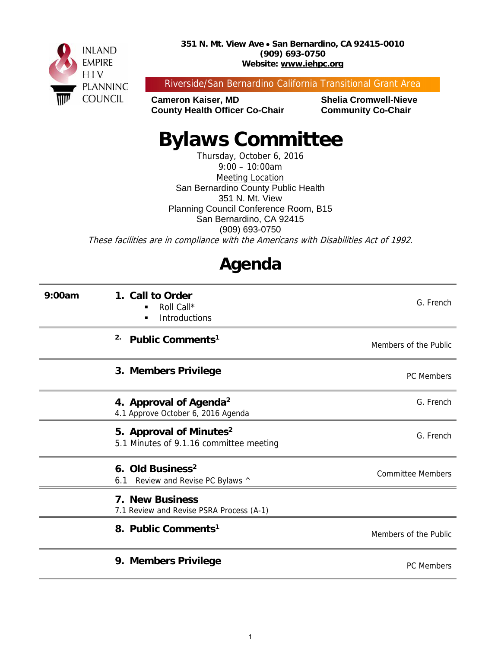

Riverside/San Bernardino California Transitional Grant Area

**Cameron Kaiser, MD Shelia Cromwell-Nieve County Health Officer Co-Chair Community Co-Chair** 

# **Bylaws Committee**

Thursday, October 6, 2016 9:00 – 10:00am Meeting Location San Bernardino County Public Health 351 N. Mt. View Planning Council Conference Room, B15 San Bernardino, CA 92415 (909) 693-0750 These facilities are in compliance with the Americans with Disabilities Act of 1992.

## **Agenda**

| 9:00am | 1. Call to Order<br>Roll Call*<br>Introductions<br>٠                           | G. French                |
|--------|--------------------------------------------------------------------------------|--------------------------|
|        | 2.<br>Public Comments <sup>1</sup>                                             | Members of the Public    |
|        | 3. Members Privilege                                                           | PC Members               |
|        | 4. Approval of Agenda <sup>2</sup><br>4.1 Approve October 6, 2016 Agenda       | G. French                |
|        | 5. Approval of Minutes <sup>2</sup><br>5.1 Minutes of 9.1.16 committee meeting | G. French                |
|        | 6. Old Business <sup>2</sup><br>6.1 Review and Revise PC Bylaws ^              | <b>Committee Members</b> |
|        | 7. New Business<br>7.1 Review and Revise PSRA Process (A-1)                    |                          |
|        | 8. Public Comments <sup>1</sup>                                                | Members of the Public    |
|        | 9. Members Privilege                                                           | PC Members               |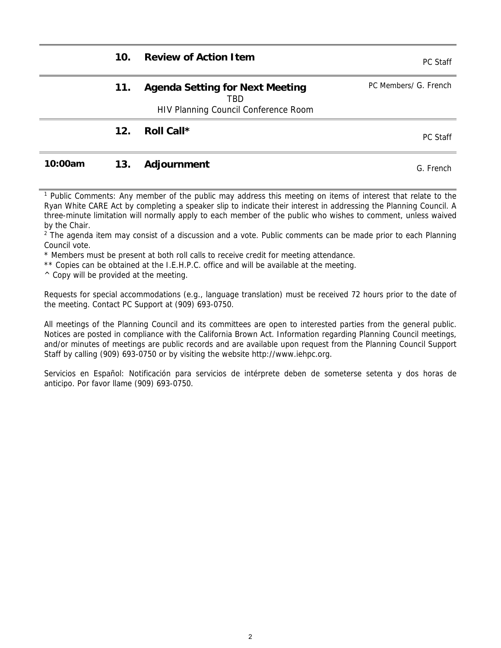| 10. | <b>Review of Action Item</b>                                                                 | PC Staff              |
|-----|----------------------------------------------------------------------------------------------|-----------------------|
| 11. | <b>Agenda Setting for Next Meeting</b><br><b>TBD</b><br>HIV Planning Council Conference Room | PC Members/ G. French |
| 12. | Roll Call*                                                                                   | PC Staff              |
|     |                                                                                              |                       |

#### **10:00am 13. Adjournment CONSIDERENT CONSIDERENT CONSIDERENT CONSIDERENT CONSIDERENT CONSIDERENT CONSIDERENT CONSIDERENT CONSIDERENT CONSIDERED CONSIDERED CONSIDERED CONSIDERED CONSIDERED CONSIDERED CONSIDERED CONSIDERED**

<sup>1</sup> Public Comments: Any member of the public may address this meeting on items of interest that relate to the Ryan White CARE Act by completing a speaker slip to indicate their interest in addressing the Planning Council. A three-minute limitation will normally apply to each member of the public who wishes to comment, unless waived by the Chair.

<sup>2</sup> The agenda item may consist of a discussion and a vote. Public comments can be made prior to each Planning Council vote.

\* Members must be present at both roll calls to receive credit for meeting attendance.

\*\* Copies can be obtained at the I.E.H.P.C. office and will be available at the meeting.

 $\wedge$  Copy will be provided at the meeting.

Requests for special accommodations (e.g., language translation) must be received 72 hours prior to the date of the meeting. Contact PC Support at (909) 693-0750.

All meetings of the Planning Council and its committees are open to interested parties from the general public. Notices are posted in compliance with the California Brown Act. Information regarding Planning Council meetings, and/or minutes of meetings are public records and are available upon request from the Planning Council Support Staff by calling (909) 693-0750 or by visiting the website http://www.iehpc.org.

Servicios en Español: Notificación para servicios de intérprete deben de someterse setenta y dos horas de anticipo. Por favor llame (909) 693-0750.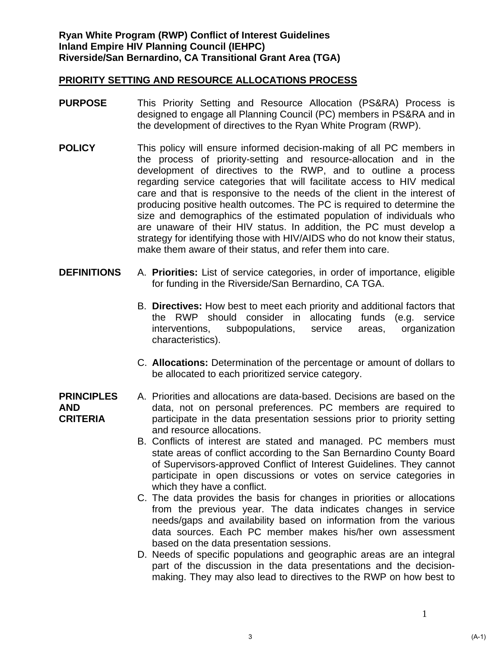- **PURPOSE** This Priority Setting and Resource Allocation (PS&RA) Process is designed to engage all Planning Council (PC) members in PS&RA and in the development of directives to the Ryan White Program (RWP).
- **POLICY** This policy will ensure informed decision-making of all PC members in the process of priority-setting and resource-allocation and in the development of directives to the RWP, and to outline a process regarding service categories that will facilitate access to HIV medical care and that is responsive to the needs of the client in the interest of producing positive health outcomes. The PC is required to determine the size and demographics of the estimated population of individuals who are unaware of their HIV status. In addition, the PC must develop a strategy for identifying those with HIV/AIDS who do not know their status, make them aware of their status, and refer them into care.
- **DEFINITIONS** A. **Priorities:** List of service categories, in order of importance, eligible for funding in the Riverside/San Bernardino, CA TGA.
	- B. **Directives:** How best to meet each priority and additional factors that the RWP should consider in allocating funds (e.g. service interventions, subpopulations, service areas, organization characteristics).
	- C. **Allocations:** Determination of the percentage or amount of dollars to be allocated to each prioritized service category.

#### **PRINCIPLES AND CRITERIA**  A. Priorities and allocations are data-based. Decisions are based on the data, not on personal preferences. PC members are required to participate in the data presentation sessions prior to priority setting and resource allocations.

- B. Conflicts of interest are stated and managed. PC members must state areas of conflict according to the San Bernardino County Board of Supervisors-approved Conflict of Interest Guidelines. They cannot participate in open discussions or votes on service categories in which they have a conflict.
- C. The data provides the basis for changes in priorities or allocations from the previous year. The data indicates changes in service needs/gaps and availability based on information from the various data sources. Each PC member makes his/her own assessment based on the data presentation sessions.
- D. Needs of specific populations and geographic areas are an integral part of the discussion in the data presentations and the decisionmaking. They may also lead to directives to the RWP on how best to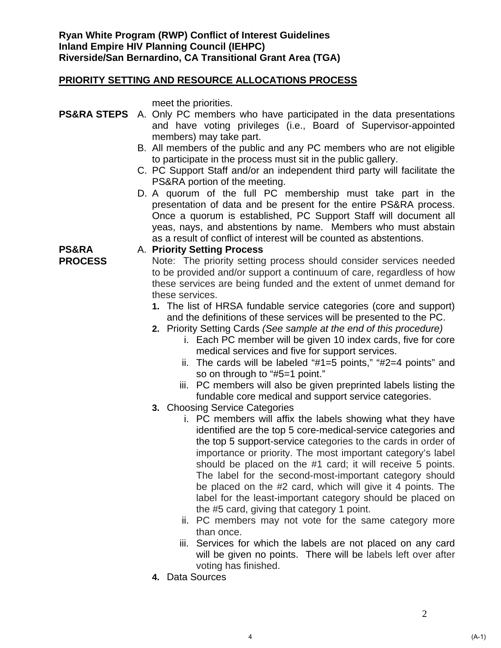meet the priorities.

A. **Priority Setting Process**

- **PS&RA STEPS** A. Only PC members who have participated in the data presentations and have voting privileges (i.e., Board of Supervisor-appointed members) may take part.
	- B. All members of the public and any PC members who are not eligible to participate in the process must sit in the public gallery.
	- C. PC Support Staff and/or an independent third party will facilitate the PS&RA portion of the meeting.
	- D. A quorum of the full PC membership must take part in the presentation of data and be present for the entire PS&RA process. Once a quorum is established, PC Support Staff will document all yeas, nays, and abstentions by name. Members who must abstain as a result of conflict of interest will be counted as abstentions.

### **PS&RA**

**PROCESS** 

- Note: The priority setting process should consider services needed to be provided and/or support a continuum of care, regardless of how these services are being funded and the extent of unmet demand for these services.
- **1.** The list of HRSA fundable service categories (core and support) and the definitions of these services will be presented to the PC.
- **2.** Priority Setting Cards *(See sample at the end of this procedure)*
	- i. Each PC member will be given 10 index cards, five for core medical services and five for support services.
	- ii. The cards will be labeled "#1=5 points," "#2=4 points" and so on through to "#5=1 point."
	- iii. PC members will also be given preprinted labels listing the fundable core medical and support service categories.
- **3.** Choosing Service Categories
	- i. PC members will affix the labels showing what they have identified are the top 5 core-medical-service categories and the top 5 support-service categories to the cards in order of importance or priority. The most important category's label should be placed on the #1 card; it will receive 5 points. The label for the second-most-important category should be placed on the #2 card, which will give it 4 points. The label for the least-important category should be placed on the #5 card, giving that category 1 point.
	- ii. PC members may not vote for the same category more than once.
	- iii. Services for which the labels are not placed on any card will be given no points. There will be labels left over after voting has finished.
- **4.** Data Sources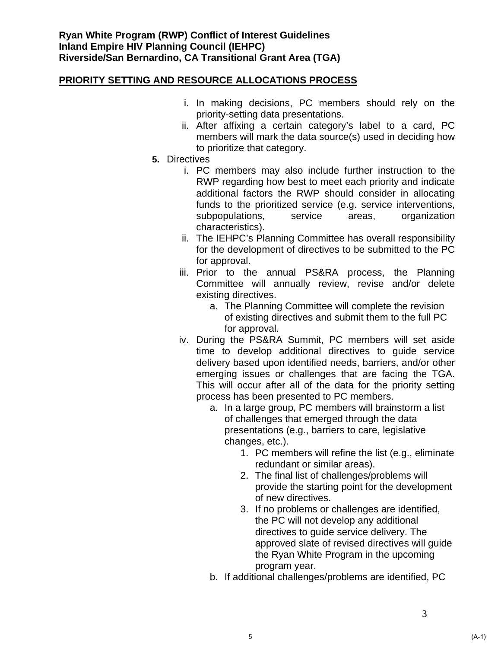- i. In making decisions, PC members should rely on the priority-setting data presentations.
- ii. After affixing a certain category's label to a card, PC members will mark the data source(s) used in deciding how to prioritize that category.
- **5.** Directives
	- i. PC members may also include further instruction to the RWP regarding how best to meet each priority and indicate additional factors the RWP should consider in allocating funds to the prioritized service (e.g. service interventions, subpopulations, service areas, organization characteristics).
	- ii. The IEHPC's Planning Committee has overall responsibility for the development of directives to be submitted to the PC for approval.
	- iii. Prior to the annual PS&RA process, the Planning Committee will annually review, revise and/or delete existing directives.
		- a. The Planning Committee will complete the revision of existing directives and submit them to the full PC for approval.
	- iv. During the PS&RA Summit, PC members will set aside time to develop additional directives to guide service delivery based upon identified needs, barriers, and/or other emerging issues or challenges that are facing the TGA. This will occur after all of the data for the priority setting process has been presented to PC members.
		- a. In a large group, PC members will brainstorm a list of challenges that emerged through the data presentations (e.g., barriers to care, legislative changes, etc.).
			- 1. PC members will refine the list (e.g., eliminate redundant or similar areas).
			- 2. The final list of challenges/problems will provide the starting point for the development of new directives.
			- 3. If no problems or challenges are identified, the PC will not develop any additional directives to guide service delivery. The approved slate of revised directives will guide the Ryan White Program in the upcoming program year.
		- b. If additional challenges/problems are identified, PC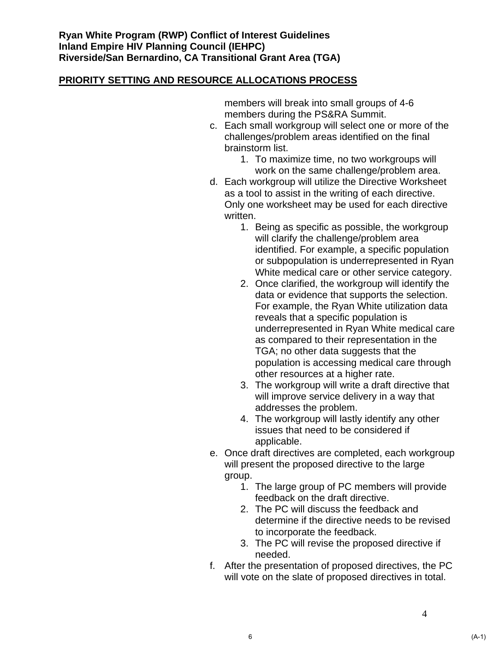members will break into small groups of 4-6 members during the PS&RA Summit.

- c. Each small workgroup will select one or more of the challenges/problem areas identified on the final brainstorm list.
	- 1. To maximize time, no two workgroups will work on the same challenge/problem area.
- d. Each workgroup will utilize the Directive Worksheet as a tool to assist in the writing of each directive. Only one worksheet may be used for each directive written.
	- 1. Being as specific as possible, the workgroup will clarify the challenge/problem area identified. For example, a specific population or subpopulation is underrepresented in Ryan White medical care or other service category.
	- 2. Once clarified, the workgroup will identify the data or evidence that supports the selection. For example, the Ryan White utilization data reveals that a specific population is underrepresented in Ryan White medical care as compared to their representation in the TGA; no other data suggests that the population is accessing medical care through other resources at a higher rate.
	- 3. The workgroup will write a draft directive that will improve service delivery in a way that addresses the problem.
	- 4. The workgroup will lastly identify any other issues that need to be considered if applicable.
- e. Once draft directives are completed, each workgroup will present the proposed directive to the large group.
	- 1. The large group of PC members will provide feedback on the draft directive.
	- 2. The PC will discuss the feedback and determine if the directive needs to be revised to incorporate the feedback.
	- 3. The PC will revise the proposed directive if needed.
- f. After the presentation of proposed directives, the PC will vote on the slate of proposed directives in total.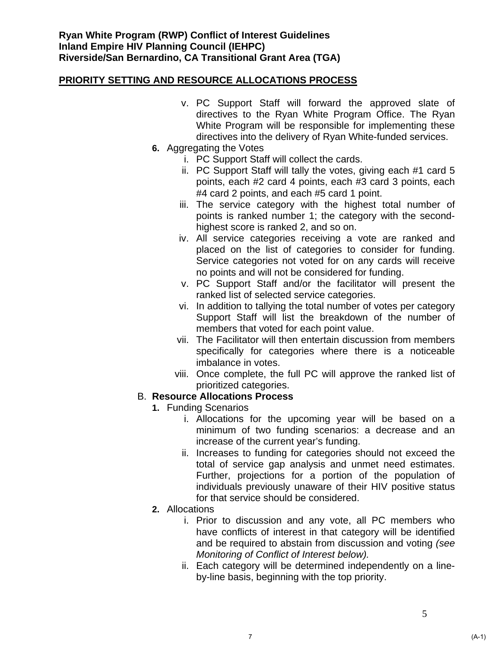- v. PC Support Staff will forward the approved slate of directives to the Ryan White Program Office. The Ryan White Program will be responsible for implementing these directives into the delivery of Ryan White-funded services.
- **6.** Aggregating the Votes
	- i. PC Support Staff will collect the cards.
	- ii. PC Support Staff will tally the votes, giving each #1 card 5 points, each #2 card 4 points, each #3 card 3 points, each #4 card 2 points, and each #5 card 1 point.
	- iii. The service category with the highest total number of points is ranked number 1; the category with the secondhighest score is ranked 2, and so on.
	- iv. All service categories receiving a vote are ranked and placed on the list of categories to consider for funding. Service categories not voted for on any cards will receive no points and will not be considered for funding.
	- v. PC Support Staff and/or the facilitator will present the ranked list of selected service categories.
	- vi. In addition to tallying the total number of votes per category Support Staff will list the breakdown of the number of members that voted for each point value.
	- vii. The Facilitator will then entertain discussion from members specifically for categories where there is a noticeable imbalance in votes.
	- viii. Once complete, the full PC will approve the ranked list of prioritized categories.

### B. **Resource Allocations Process**

- **1.** Funding Scenarios
	- i. Allocations for the upcoming year will be based on a minimum of two funding scenarios: a decrease and an increase of the current year's funding.
	- ii. Increases to funding for categories should not exceed the total of service gap analysis and unmet need estimates. Further, projections for a portion of the population of individuals previously unaware of their HIV positive status for that service should be considered.
- **2.** Allocations
	- i. Prior to discussion and any vote, all PC members who have conflicts of interest in that category will be identified and be required to abstain from discussion and voting *(see Monitoring of Conflict of Interest below).*
	- ii. Each category will be determined independently on a lineby-line basis, beginning with the top priority.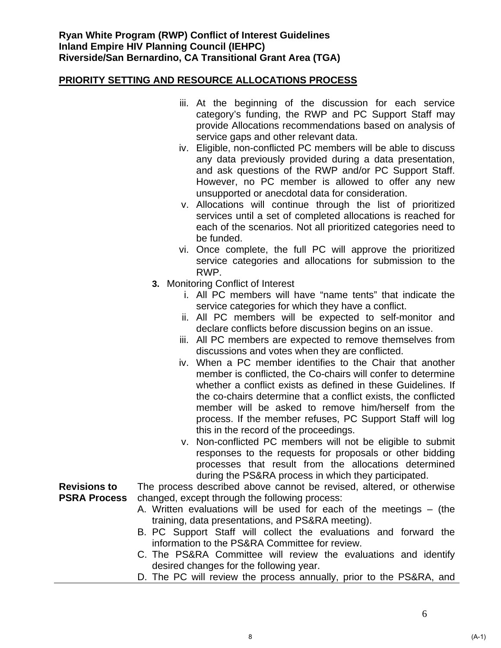- iii. At the beginning of the discussion for each service category's funding, the RWP and PC Support Staff may provide Allocations recommendations based on analysis of service gaps and other relevant data.
- iv. Eligible, non-conflicted PC members will be able to discuss any data previously provided during a data presentation, and ask questions of the RWP and/or PC Support Staff. However, no PC member is allowed to offer any new unsupported or anecdotal data for consideration.
- v. Allocations will continue through the list of prioritized services until a set of completed allocations is reached for each of the scenarios. Not all prioritized categories need to be funded.
- vi. Once complete, the full PC will approve the prioritized service categories and allocations for submission to the RWP.
- **3.** Monitoring Conflict of Interest
	- i. All PC members will have "name tents" that indicate the service categories for which they have a conflict.
	- ii. All PC members will be expected to self-monitor and declare conflicts before discussion begins on an issue.
	- iii. All PC members are expected to remove themselves from discussions and votes when they are conflicted.
	- iv. When a PC member identifies to the Chair that another member is conflicted, the Co-chairs will confer to determine whether a conflict exists as defined in these Guidelines. If the co-chairs determine that a conflict exists, the conflicted member will be asked to remove him/herself from the process. If the member refuses, PC Support Staff will log this in the record of the proceedings.
	- v. Non-conflicted PC members will not be eligible to submit responses to the requests for proposals or other bidding processes that result from the allocations determined during the PS&RA process in which they participated.

**Revisions to PSRA Process**  The process described above cannot be revised, altered, or otherwise changed, except through the following process:

- A. Written evaluations will be used for each of the meetings (the training, data presentations, and PS&RA meeting).
- B. PC Support Staff will collect the evaluations and forward the information to the PS&RA Committee for review.
- C. The PS&RA Committee will review the evaluations and identify desired changes for the following year.
- D. The PC will review the process annually, prior to the PS&RA, and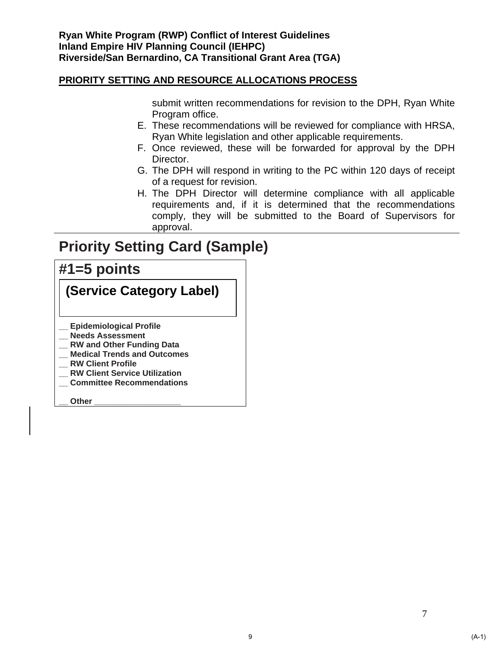submit written recommendations for revision to the DPH, Ryan White Program office.

- E. These recommendations will be reviewed for compliance with HRSA, Ryan White legislation and other applicable requirements.
- F. Once reviewed, these will be forwarded for approval by the DPH Director.
- G. The DPH will respond in writing to the PC within 120 days of receipt of a request for revision.
- H. The DPH Director will determine compliance with all applicable requirements and, if it is determined that the recommendations comply, they will be submitted to the Board of Supervisors for approval.

## **Priority Setting Card (Sample)**

### **#1=5 points**

|  | (Service Category Label) |  |
|--|--------------------------|--|
|--|--------------------------|--|

- **\_\_ Epidemiological Profile**
- **\_\_ Needs Assessment**
- **\_\_ RW and Other Funding Data**
- **\_\_ Medical Trends and Outcomes**
- **\_\_ RW Client Profile**
- **\_\_ RW Client Service Utilization**
- **\_\_ Committee Recommendations**

**\_\_ Other \_\_\_\_\_\_\_\_\_\_\_\_\_\_\_\_\_\_\_**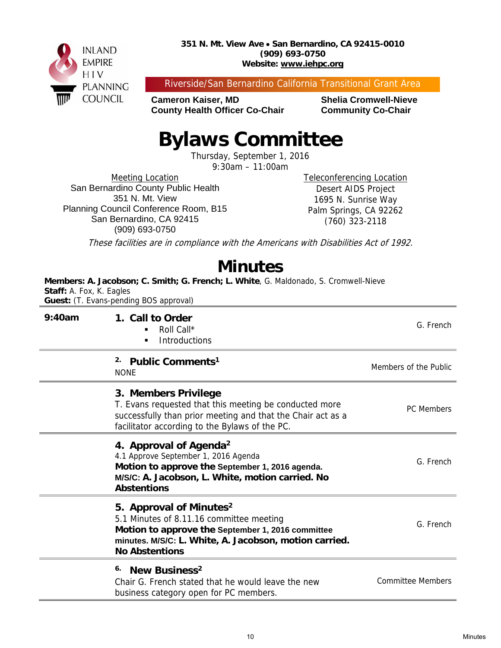

Riverside/San Bernardino California Transitional Grant Area

**Cameron Kaiser, MD Shelia Cromwell-Nieve County Health Officer Co-Chair Community Co-Chair** 

## **Bylaws Committee**

Thursday, September 1, 2016

9:30am – 11:00am

Meeting Location San Bernardino County Public Health 351 N. Mt. View Planning Council Conference Room, B15 San Bernardino, CA 92415 (909) 693-0750

Teleconferencing Location Desert AIDS Project 1695 N. Sunrise Way Palm Springs, CA 92262 (760) 323-2118

These facilities are in compliance with the Americans with Disabilities Act of 1992.

## **Minutes**

**Members: A. Jacobson; C. Smith; G. French; L. White**, G. Maldonado, S. Cromwell-Nieve **Staff:** A. Fox, K. Eagles **Guest:** (T. Evans-pending BOS approval)

| 9:40am | 1. Call to Order<br>Roll Call*<br><b>Introductions</b>                                                                                                                                                                  | G. French                |
|--------|-------------------------------------------------------------------------------------------------------------------------------------------------------------------------------------------------------------------------|--------------------------|
|        | 2.<br>Public Comments <sup>1</sup><br><b>NONE</b>                                                                                                                                                                       | Members of the Public    |
|        | 3. Members Privilege<br>T. Evans requested that this meeting be conducted more<br>successfully than prior meeting and that the Chair act as a<br>facilitator according to the Bylaws of the PC.                         | <b>PC</b> Members        |
|        | 4. Approval of Agenda <sup>2</sup><br>4.1 Approve September 1, 2016 Agenda<br>Motion to approve the September 1, 2016 agenda.<br>M/S/C: A. Jacobson, L. White, motion carried. No<br><b>Abstentions</b>                 | G. French                |
|        | 5. Approval of Minutes <sup>2</sup><br>5.1 Minutes of 8.11.16 committee meeting<br>Motion to approve the September 1, 2016 committee<br>minutes. M/S/C: L. White, A. Jacobson, motion carried.<br><b>No Abstentions</b> | G. French                |
|        | New Business <sup>2</sup><br>6.<br>Chair G. French stated that he would leave the new<br>business category open for PC members.                                                                                         | <b>Committee Members</b> |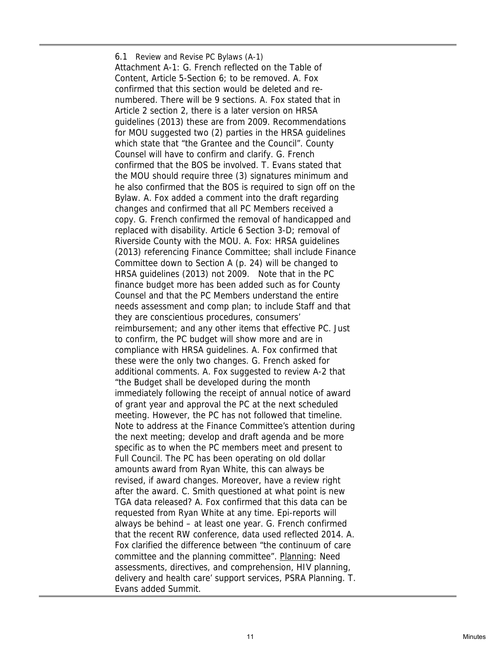6.1 Review and Revise PC Bylaws (A-1) Attachment A-1: G. French reflected on the Table of Content, Article 5-Section 6; to be removed. A. Fox confirmed that this section would be deleted and renumbered. There will be 9 sections. A. Fox stated that in Article 2 section 2, there is a later version on HRSA guidelines (2013) these are from 2009. Recommendations for MOU suggested two (2) parties in the HRSA guidelines which state that "the Grantee and the Council". County Counsel will have to confirm and clarify. G. French confirmed that the BOS be involved. T. Evans stated that the MOU should require three (3) signatures minimum and he also confirmed that the BOS is required to sign off on the Bylaw. A. Fox added a comment into the draft regarding changes and confirmed that all PC Members received a copy. G. French confirmed the removal of handicapped and replaced with disability. Article 6 Section 3-D; removal of Riverside County with the MOU. A. Fox: HRSA guidelines (2013) referencing Finance Committee; shall include Finance Committee down to Section A (p. 24) will be changed to HRSA guidelines (2013) not 2009. Note that in the PC finance budget more has been added such as for County Counsel and that the PC Members understand the entire needs assessment and comp plan; to include Staff and that they are conscientious procedures, consumers' reimbursement; and any other items that effective PC. Just to confirm, the PC budget will show more and are in compliance with HRSA guidelines. A. Fox confirmed that these were the only two changes. G. French asked for additional comments. A. Fox suggested to review A-2 that "the Budget shall be developed during the month immediately following the receipt of annual notice of award of grant year and approval the PC at the next scheduled meeting. However, the PC has not followed that timeline. Note to address at the Finance Committee's attention during the next meeting; develop and draft agenda and be more specific as to when the PC members meet and present to Full Council. The PC has been operating on old dollar amounts award from Ryan White, this can always be revised, if award changes. Moreover, have a review right after the award. C. Smith questioned at what point is new TGA data released? A. Fox confirmed that this data can be requested from Ryan White at any time. Epi-reports will always be behind – at least one year. G. French confirmed that the recent RW conference, data used reflected 2014. A. Fox clarified the difference between "the continuum of care committee and the planning committee". Planning: Need assessments, directives, and comprehension, HIV planning, delivery and health care' support services, PSRA Planning. T. Evans added Summit.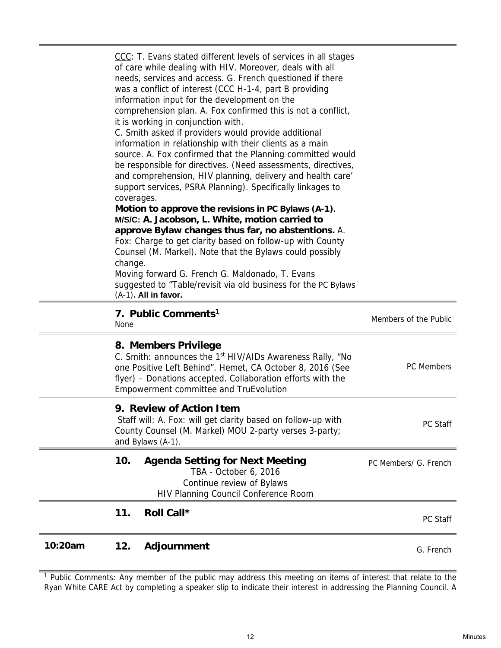$\equiv$ 

 $\qquad \qquad =$ 

<sup>1</sup> Public Comments: Any member of the public may address this meeting on items of interest that relate to the Ryan White CARE Act by completing a speaker slip to indicate their interest in addressing the Planning Council. A